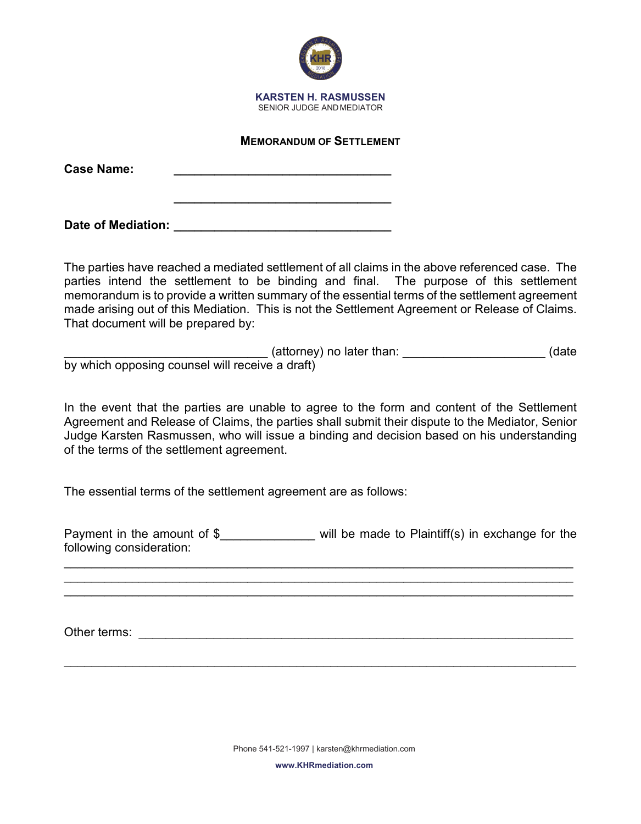

## **MEMORANDUM OF SETTLEMENT**

**\_\_\_\_\_\_\_\_\_\_\_\_\_\_\_\_\_\_\_\_\_\_\_\_\_\_\_\_\_\_\_\_**

**Case Name: \_\_\_\_\_\_\_\_\_\_\_\_\_\_\_\_\_\_\_\_\_\_\_\_\_\_\_\_\_\_\_\_**

Date of Mediation: **Date of Mediation:** 

The parties have reached a mediated settlement of all claims in the above referenced case. The parties intend the settlement to be binding and final. The purpose of this settlement memorandum is to provide a written summary of the essential terms of the settlement agreement made arising out of this Mediation. This is not the Settlement Agreement or Release of Claims. That document will be prepared by:

\_\_\_\_\_\_\_\_\_\_\_\_\_\_\_\_\_\_\_\_\_\_\_\_\_\_\_\_\_\_ (attorney) no later than: \_\_\_\_\_\_\_\_\_\_\_\_\_\_\_\_\_\_\_\_\_ (date by which opposing counsel will receive a draft)

In the event that the parties are unable to agree to the form and content of the Settlement Agreement and Release of Claims, the parties shall submit their dispute to the Mediator, Senior Judge Karsten Rasmussen, who will issue a binding and decision based on his understanding of the terms of the settlement agreement.

The essential terms of the settlement agreement are as follows:

Payment in the amount of \$ will be made to Plaintiff(s) in exchange for the following consideration:

\_\_\_\_\_\_\_\_\_\_\_\_\_\_\_\_\_\_\_\_\_\_\_\_\_\_\_\_\_\_\_\_\_\_\_\_\_\_\_\_\_\_\_\_\_\_\_\_\_\_\_\_\_\_\_\_\_\_\_\_\_\_\_\_\_\_\_\_\_\_\_\_\_\_\_ \_\_\_\_\_\_\_\_\_\_\_\_\_\_\_\_\_\_\_\_\_\_\_\_\_\_\_\_\_\_\_\_\_\_\_\_\_\_\_\_\_\_\_\_\_\_\_\_\_\_\_\_\_\_\_\_\_\_\_\_\_\_\_\_\_\_\_\_\_\_\_\_\_\_\_ \_\_\_\_\_\_\_\_\_\_\_\_\_\_\_\_\_\_\_\_\_\_\_\_\_\_\_\_\_\_\_\_\_\_\_\_\_\_\_\_\_\_\_\_\_\_\_\_\_\_\_\_\_\_\_\_\_\_\_\_\_\_\_\_\_\_\_\_\_\_\_\_\_\_\_

Other terms: **with a structure of the structure of the structure of the structure of the structure of the structure of the structure of the structure of the structure of the structure of the structure of the structure of t** 

\_\_\_\_\_\_\_\_\_\_\_\_\_\_\_\_\_\_\_\_\_\_\_\_\_\_\_\_\_\_\_\_\_\_\_\_\_\_\_\_\_\_\_\_\_\_\_\_\_\_\_\_\_\_\_\_\_\_\_\_\_\_\_\_\_\_\_\_\_\_\_\_\_\_\_

**www.KHRmediation.com**